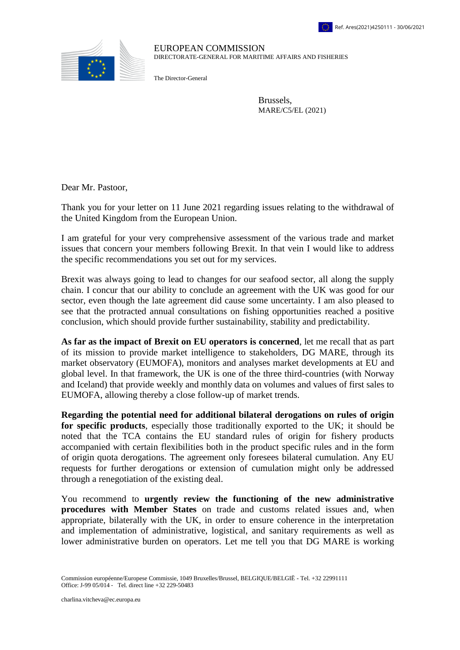

EUROPEAN COMMISSION DIRECTORATE-GENERAL FOR MARITIME AFFAIRS AND FISHERIES

The Director-General

Brussels, MARE/C5/EL (2021)

Dear Mr. Pastoor,

Thank you for your letter on 11 June 2021 regarding issues relating to the withdrawal of the United Kingdom from the European Union.

I am grateful for your very comprehensive assessment of the various trade and market issues that concern your members following Brexit. In that vein I would like to address the specific recommendations you set out for my services.

Brexit was always going to lead to changes for our seafood sector, all along the supply chain. I concur that our ability to conclude an agreement with the UK was good for our sector, even though the late agreement did cause some uncertainty. I am also pleased to see that the protracted annual consultations on fishing opportunities reached a positive conclusion, which should provide further sustainability, stability and predictability.

**As far as the impact of Brexit on EU operators is concerned**, let me recall that as part of its mission to provide market intelligence to stakeholders, DG MARE, through its market observatory (EUMOFA), monitors and analyses market developments at EU and global level. In that framework, the UK is one of the three third-countries (with Norway and Iceland) that provide weekly and monthly data on volumes and values of first sales to EUMOFA, allowing thereby a close follow-up of market trends.

**Regarding the potential need for additional bilateral derogations on rules of origin for specific products**, especially those traditionally exported to the UK; it should be noted that the TCA contains the EU standard rules of origin for fishery products accompanied with certain flexibilities both in the product specific rules and in the form of origin quota derogations. The agreement only foresees bilateral cumulation. Any EU requests for further derogations or extension of cumulation might only be addressed through a renegotiation of the existing deal.

You recommend to **urgently review the functioning of the new administrative procedures with Member States** on trade and customs related issues and, when appropriate, bilaterally with the UK, in order to ensure coherence in the interpretation and implementation of administrative, logistical, and sanitary requirements as well as lower administrative burden on operators. Let me tell you that DG MARE is working

Commission européenne/Europese Commissie, 1049 Bruxelles/Brussel, BELGIQUE/BELGIË - Tel. +32 22991111 Office: J-99 05/014 ‐ Tel. direct line +32 229-50483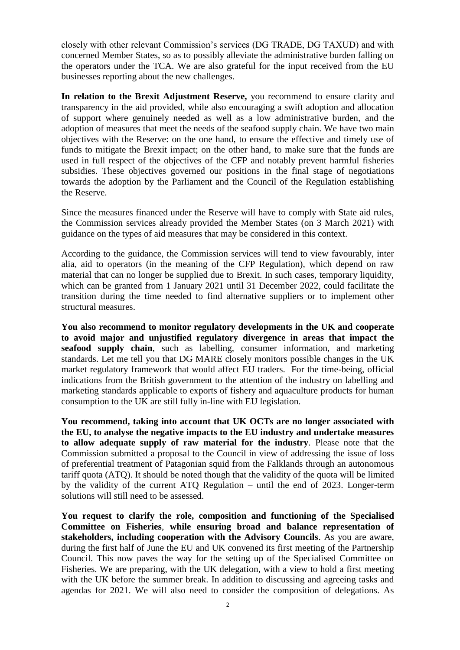closely with other relevant Commission's services (DG TRADE, DG TAXUD) and with concerned Member States, so as to possibly alleviate the administrative burden falling on the operators under the TCA. We are also grateful for the input received from the EU businesses reporting about the new challenges.

**In relation to the Brexit Adjustment Reserve,** you recommend to ensure clarity and transparency in the aid provided, while also encouraging a swift adoption and allocation of support where genuinely needed as well as a low administrative burden, and the adoption of measures that meet the needs of the seafood supply chain. We have two main objectives with the Reserve: on the one hand, to ensure the effective and timely use of funds to mitigate the Brexit impact; on the other hand, to make sure that the funds are used in full respect of the objectives of the CFP and notably prevent harmful fisheries subsidies. These objectives governed our positions in the final stage of negotiations towards the adoption by the Parliament and the Council of the Regulation establishing the Reserve.

Since the measures financed under the Reserve will have to comply with State aid rules, the Commission services already provided the Member States (on 3 March 2021) with guidance on the types of aid measures that may be considered in this context.

According to the guidance, the Commission services will tend to view favourably, inter alia, aid to operators (in the meaning of the CFP Regulation), which depend on raw material that can no longer be supplied due to Brexit. In such cases, temporary liquidity, which can be granted from 1 January 2021 until 31 December 2022, could facilitate the transition during the time needed to find alternative suppliers or to implement other structural measures.

**You also recommend to monitor regulatory developments in the UK and cooperate to avoid major and unjustified regulatory divergence in areas that impact the seafood supply chain**, such as labelling, consumer information, and marketing standards. Let me tell you that DG MARE closely monitors possible changes in the UK market regulatory framework that would affect EU traders. For the time-being, official indications from the British government to the attention of the industry on labelling and marketing standards applicable to exports of fishery and aquaculture products for human consumption to the UK are still fully in-line with EU legislation.

**You recommend, taking into account that UK OCTs are no longer associated with the EU, to analyse the negative impacts to the EU industry and undertake measures to allow adequate supply of raw material for the industry**. Please note that the Commission submitted a proposal to the Council in view of addressing the issue of loss of preferential treatment of Patagonian squid from the Falklands through an autonomous tariff quota (ATQ). It should be noted though that the validity of the quota will be limited by the validity of the current ATQ Regulation – until the end of 2023. Longer-term solutions will still need to be assessed.

**You request to clarify the role, composition and functioning of the Specialised Committee on Fisheries**, **while ensuring broad and balance representation of stakeholders, including cooperation with the Advisory Councils**. As you are aware, during the first half of June the EU and UK convened its first meeting of the Partnership Council. This now paves the way for the setting up of the Specialised Committee on Fisheries. We are preparing, with the UK delegation, with a view to hold a first meeting with the UK before the summer break. In addition to discussing and agreeing tasks and agendas for 2021. We will also need to consider the composition of delegations. As